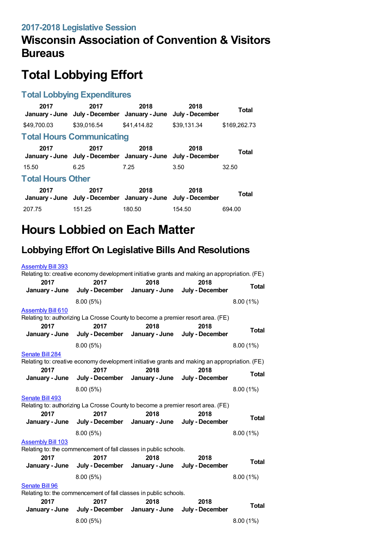# **Total Lobbying Effort**

#### **Total Lobbying Expenditures**

| 2017                     | 2017<br>January - June July - December January - June July - December | 2018        | 2018        | Total        |
|--------------------------|-----------------------------------------------------------------------|-------------|-------------|--------------|
| \$49,700.03              | \$39.016.54                                                           | \$41,414.82 | \$39.131.34 | \$169,262.73 |
|                          | <b>Total Hours Communicating</b>                                      |             |             |              |
| 2017                     | 2017<br>January - June July - December January - June July - December | 2018        | 2018        | <b>Total</b> |
| 15.50                    | 6.25                                                                  | 7.25        | 3.50        | 32.50        |
| <b>Total Hours Other</b> |                                                                       |             |             |              |
| 2017                     | 2017<br>January - June July - December January - June July - December | 2018        | 2018        | Total        |
| 207.75                   | 151.25                                                                | 180.50      | 154.50      | 694.00       |

## **Hours Lobbied on Each Matter**

## **Lobbying Effort On Legislative Bills And Resolutions**

| <b>Assembly Bill 393</b>                                         |                                                                                               |                |                 |              |
|------------------------------------------------------------------|-----------------------------------------------------------------------------------------------|----------------|-----------------|--------------|
|                                                                  | Relating to: creative economy development initiative grants and making an appropriation. (FE) |                |                 |              |
| 2017                                                             | 2017                                                                                          | 2018           | 2018            |              |
| January - June                                                   | July - December January - June                                                                |                | July - December | <b>Total</b> |
|                                                                  | 8.00(5%)                                                                                      |                |                 | $8.00(1\%)$  |
| <b>Assembly Bill 610</b>                                         |                                                                                               |                |                 |              |
|                                                                  | Relating to: authorizing La Crosse County to become a premier resort area. (FE)               |                |                 |              |
| 2017                                                             | 2017                                                                                          | 2018           | 2018            | <b>Total</b> |
| January - June                                                   | July - December                                                                               | January - June | July - December |              |
|                                                                  | 8.00(5%)                                                                                      |                |                 | 8.00(1%)     |
| Senate Bill 284                                                  |                                                                                               |                |                 |              |
|                                                                  | Relating to: creative economy development initiative grants and making an appropriation. (FE) |                |                 |              |
| 2017                                                             | 2017                                                                                          | 2018           | 2018            | <b>Total</b> |
| January - June                                                   | July - December January - June                                                                |                | July - December |              |
|                                                                  | 8.00 (5%)                                                                                     |                |                 | 8.00(1%)     |
| Senate Bill 493                                                  |                                                                                               |                |                 |              |
|                                                                  | Relating to: authorizing La Crosse County to become a premier resort area. (FE)               |                |                 |              |
| 2017                                                             | 2017                                                                                          | 2018           | 2018            |              |
| January - June                                                   | July - December January - June                                                                |                | July - December | <b>Total</b> |
|                                                                  | 8.00(5%)                                                                                      |                |                 | 8.00(1%)     |
| <b>Assembly Bill 103</b>                                         |                                                                                               |                |                 |              |
|                                                                  | Relating to: the commencement of fall classes in public schools.                              |                |                 |              |
| 2017                                                             | 2017                                                                                          | 2018           | 2018            | Total        |
| January - June                                                   | July - December                                                                               | January - June | July - December |              |
|                                                                  | 8.00(5%)                                                                                      |                |                 | 8.00(1%)     |
| Senate Bill 96                                                   |                                                                                               |                |                 |              |
| Relating to: the commencement of fall classes in public schools. |                                                                                               |                |                 |              |
| 2017                                                             | 2017                                                                                          | 2018           | 2018            |              |
|                                                                  | January - June July - December January - June                                                 |                | July - December | <b>Total</b> |
|                                                                  | 8.00 (5%)                                                                                     |                |                 | 8.00(1%)     |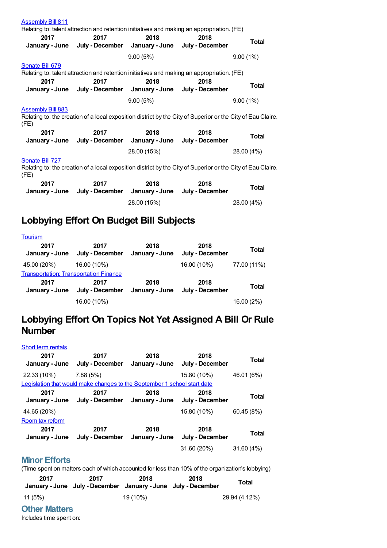| <b>Assembly Bill 811</b><br>Relating to: talent attraction and retention initiatives and making an appropriation. (FE)                          |                                                                                                    |             |      |              |  |
|-------------------------------------------------------------------------------------------------------------------------------------------------|----------------------------------------------------------------------------------------------------|-------------|------|--------------|--|
| 2017                                                                                                                                            | 2017<br>January - June July - December January - June July - December                              | 2018        | 2018 | <b>Total</b> |  |
|                                                                                                                                                 |                                                                                                    | 9.00(5%)    |      | 9.00(1%)     |  |
| Senate Bill 679<br>2017                                                                                                                         | Relating to: talent attraction and retention initiatives and making an appropriation. (FE)<br>2017 | 2018        | 2018 |              |  |
|                                                                                                                                                 | January - June July - December January - June July - December                                      |             |      | Total        |  |
|                                                                                                                                                 |                                                                                                    | 9.00(5%)    |      | 9.00(1%)     |  |
| <b>Assembly Bill 883</b><br>Relating to: the creation of a local exposition district by the City of Superior or the City of Eau Claire.<br>(FE) |                                                                                                    |             |      |              |  |
| 2017                                                                                                                                            | 2017<br>January - June July - December January - June July - December                              | 2018        | 2018 | Total        |  |
|                                                                                                                                                 |                                                                                                    | 28.00 (15%) |      | 28.00 (4%)   |  |
| Senate Bill 727<br>Relating to: the creation of a local exposition district by the City of Superior or the City of Eau Claire.<br>(FE)          |                                                                                                    |             |      |              |  |
| 2017                                                                                                                                            | 2017<br>January - June July - December January - June July - December                              | 2018        | 2018 | Total        |  |
|                                                                                                                                                 |                                                                                                    | 28.00 (15%) |      | 28.00 (4%)   |  |

### **Lobbying Effort On Budget Bill Subjects**

| <b>Tourism</b>                                |                         |                        |                         |              |
|-----------------------------------------------|-------------------------|------------------------|-------------------------|--------------|
| 2017<br>January - June                        | 2017<br>July - December | 2018<br>January - June | 2018<br>July - December | Total        |
| 45.00 (20%)                                   | 16.00 (10%)             |                        | 16.00 (10%)             | 77.00 (11%)  |
| <b>Transportation: Transportation Finance</b> |                         |                        |                         |              |
| 2017<br>January - June                        | 2017<br>July - December | 2018<br>January - June | 2018<br>July - December | <b>Total</b> |
|                                               | 16.00 (10%)             |                        |                         | 16.00 (2%)   |

## **Lobbying Effort On Topics Not Yet Assigned A Bill Or Rule Number**

| Short term rentals     |                                                                          |                        |                         |              |
|------------------------|--------------------------------------------------------------------------|------------------------|-------------------------|--------------|
| 2017<br>January - June | 2017<br>July - December                                                  | 2018<br>January - June | 2018<br>July - December | <b>Total</b> |
| 22.33 (10%)            | 7.88(5%)                                                                 |                        | 15.80 (10%)             | 46.01 (6%)   |
|                        | Legislation that would make changes to the September 1 school start date |                        |                         |              |
| 2017<br>January - June | 2017<br>July - December                                                  | 2018<br>January - June | 2018<br>July - December | Total        |
| 44.65 (20%)            |                                                                          |                        | 15.80 (10%)             | 60.45 (8%)   |
| Room tax reform        |                                                                          |                        |                         |              |
| 2017<br>January - June | 2017<br>July - December                                                  | 2018<br>January - June | 2018<br>July - December | <b>Total</b> |
|                        |                                                                          |                        | 31.60 (20%)             | 31.60(4%)    |
|                        |                                                                          |                        |                         |              |

#### **Minor Efforts**

(Time spent on matters each of which accounted for less than 10% of the organization's lobbying)

| 2017    | 2017<br>January - June July - December January - June July - December | 2018     | 2018 | Total         |
|---------|-----------------------------------------------------------------------|----------|------|---------------|
| 11 (5%) |                                                                       | 19 (10%) |      | 29.94 (4.12%) |

#### **Other Matters**

Includes time spent on: